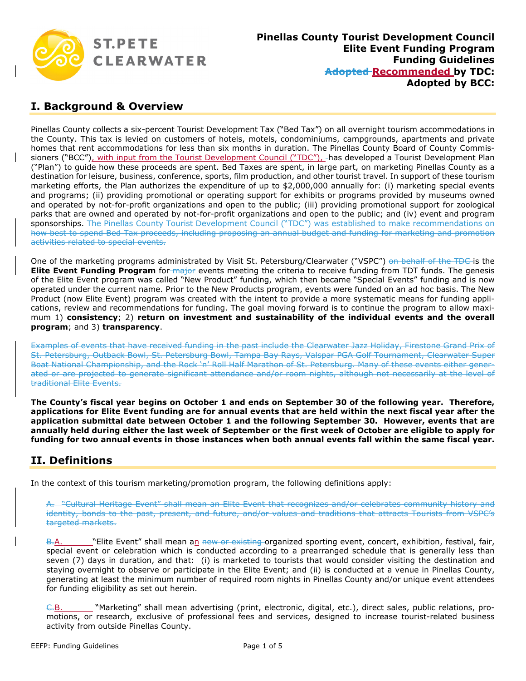

#### **I. Background & Overview**

Pinellas County collects a six-percent Tourist Development Tax ("Bed Tax") on all overnight tourism accommodations in the County. This tax is levied on customers of hotels, motels, condominiums, campgrounds, apartments and private homes that rent accommodations for less than six months in duration. The Pinellas County Board of County Commissioners ("BCC"), with input from the Tourist Development Council ("TDC"), has developed a Tourist Development Plan ("Plan") to guide how these proceeds are spent. Bed Taxes are spent, in large part, on marketing Pinellas County as a destination for leisure, business, conference, sports, film production, and other tourist travel. In support of these tourism marketing efforts, the Plan authorizes the expenditure of up to \$2,000,000 annually for: (i) marketing special events and programs; (ii) providing promotional or operating support for exhibits or programs provided by museums owned and operated by not-for-profit organizations and open to the public; (iii) providing promotional support for zoological parks that are owned and operated by not-for-profit organizations and open to the public; and (iv) event and program sponsorships. The Pinellas County Tourist Development Council ("TDC") was established to make recommendations on how best to spend Bed Tax proceeds, including proposing an annual budget and funding for marketing and promotion activities related to special events.

One of the marketing programs administrated by Visit St. Petersburg/Clearwater ("VSPC") on behalf of the TDC is the **Elite Event Funding Program** for major events meeting the criteria to receive funding from TDT funds. The genesis of the Elite Event program was called "New Product" funding, which then became "Special Events" funding and is now operated under the current name. Prior to the New Products program, events were funded on an ad hoc basis. The New Product (now Elite Event) program was created with the intent to provide a more systematic means for funding applications, review and recommendations for funding. The goal moving forward is to continue the program to allow maximum 1) **consistency**; 2) **return on investment and sustainability of the individual events and the overall program**; and 3) **transparency**.

Examples of events that have received funding in the past include the Clearwater Jazz Holiday, Firestone Grand Prix of St. Petersburg, Outback Bowl, St. Petersburg Bowl, Tampa Bay Rays, Valspar PGA Golf Tournament, Clearwater Super Boat National Championship, and the Rock 'n' Roll Half Marathon of St. Petersburg. Many of these events either generated or are projected to generate significant attendance and/or room nights, although not necessarily at the level of traditional Elite Events.

**The County's fiscal year begins on October 1 and ends on September 30 of the following year. Therefore, applications for Elite Event funding are for annual events that are held within the next fiscal year after the application submittal date between October 1 and the following September 30. However, events that are annually held during either the last week of September or the first week of October are eligible to apply for funding for two annual events in those instances when both annual events fall within the same fiscal year.** 

## **II. Definitions**

In the context of this tourism marketing/promotion program, the following definitions apply:

A. "Cultural Heritage Event" shall mean an Elite Event that recognizes and/or celebrates community history and identity, bonds to the past, present, and future, and/or values and traditions that attracts Tourists from VSPC's targeted markets.

B.A. "Elite Event" shall mean an new or existing-organized sporting event, concert, exhibition, festival, fair, special event or celebration which is conducted according to a prearranged schedule that is generally less than seven (7) days in duration, and that: (i) is marketed to tourists that would consider visiting the destination and staying overnight to observe or participate in the Elite Event; and (ii) is conducted at a venue in Pinellas County, generating at least the minimum number of required room nights in Pinellas County and/or unique event attendees for funding eligibility as set out herein.

C.B. "Marketing" shall mean advertising (print, electronic, digital, etc.), direct sales, public relations, promotions, or research, exclusive of professional fees and services, designed to increase tourist-related business activity from outside Pinellas County.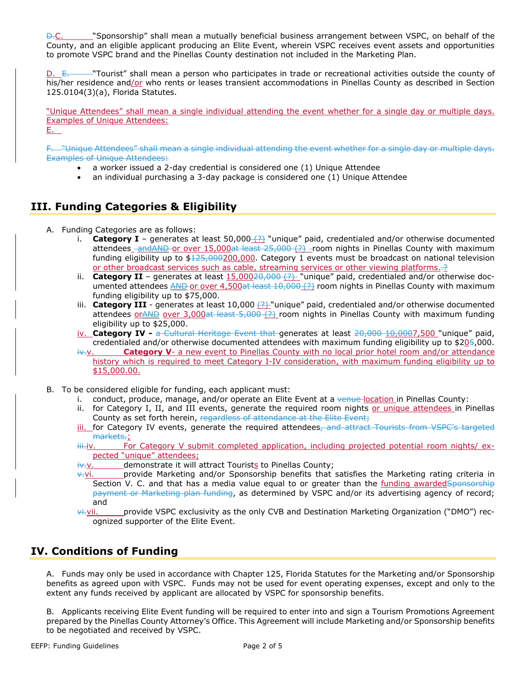"Sponsorship" shall mean a mutually beneficial business arrangement between VSPC, on behalf of the County, and an eligible applicant producing an Elite Event, wherein VSPC receives event assets and opportunities to promote VSPC brand and the Pinellas County destination not included in the Marketing Plan.

-"Tourist" shall mean a person who participates in trade or recreational activities outside the county of his/her residence and/or who rents or leases transient accommodations in Pinellas County as described in Section 125.0104(3)(a), Florida Statutes.

"Unique Attendees" shall mean a single individual attending the event whether for a single day or multiple days. Examples of Unique Attendees:

E.

F. "Unique Attendees" shall mean a single individual attending the event whether for a single day or multiple days. Examples of Unique Attendees:

- a worker issued a 2-day credential is considered one (1) Unique Attendee
- an individual purchasing a 3-day package is considered one (1) Unique Attendee

# **III. Funding Categories & Eligibility**

- A. Funding Categories are as follows:
	- i. **Category I** generates at least 50,000 (?) "unique" paid, credentialed and/or otherwise documented attendees  $-mdAPD$  or over  $15,000$  at least  $25,000$   $(?)$  room nights in Pinellas County with maximum funding eligibility up to \$125,000200,000. Category 1 events must be broadcast on national television or other broadcast services such as cable, streaming services or other viewing platforms..?
	- ii. **Category II** generates at least  $15,00020,000$   $(2)$  "unique" paid, credentialed and/or otherwise documented attendees AND or over 4,500at least 10,000 (?) room nights in Pinellas County with maximum funding eligibility up to \$75,000.
	- iii. **Category III** generates at least 10,000  $(2)$  "unique" paid, credentialed and/or otherwise documented attendees or AND over 3,000at least 5,000  $(2)$  room nights in Pinellas County with maximum funding eligibility up to \$25,000.
	- iv. **Category IV** a Cultural Heritage Event that generates at least 20,000 10,0007,500 "unique" paid, credentialed and/or otherwise documented attendees with maximum funding eligibility up to \$205,000.
	- iv. **Category V** a new event to Pinellas County with no local prior hotel room and/or attendance history which is required to meet Category I-IV consideration, with maximum funding eligibility up to \$15,000.00.
- B. To be considered eligible for funding, each applicant must:
	- i. conduct, produce, manage, and/or operate an Elite Event at a venue-location in Pinellas County:
	- ii. for Category I, II, and III events, generate the required room nights or unique attendees in Pinellas County as set forth herein, regardless of attendance at the Elite Event;
	- iii. for Category IV events, generate the required attendees, and attract Tourists from VSPC's targeted markets.;
	- iii.iv. For Category V submit completed application, including projected potential room nights/ expected "unique" attendees;
	- $iv-v.$  demonstrate it will attract Tourists to Pinellas County;
	- $\overline{v}$ -vi. provide Marketing and/or Sponsorship benefits that satisfies the Marketing rating criteria in Section V. C. and that has a media value equal to or greater than the funding awardedSponsorship payment or Marketing plan funding, as determined by VSPC and/or its advertising agency of record; and
	- $\overline{v}$ i. *ii.* vii. provide VSPC exclusivity as the only CVB and Destination Marketing Organization ("DMO") recognized supporter of the Elite Event.

# **IV. Conditions of Funding**

A. Funds may only be used in accordance with Chapter 125, Florida Statutes for the Marketing and/or Sponsorship benefits as agreed upon with VSPC. Funds may not be used for event operating expenses, except and only to the extent any funds received by applicant are allocated by VSPC for sponsorship benefits.

B. Applicants receiving Elite Event funding will be required to enter into and sign a Tourism Promotions Agreement prepared by the Pinellas County Attorney's Office. This Agreement will include Marketing and/or Sponsorship benefits to be negotiated and received by VSPC.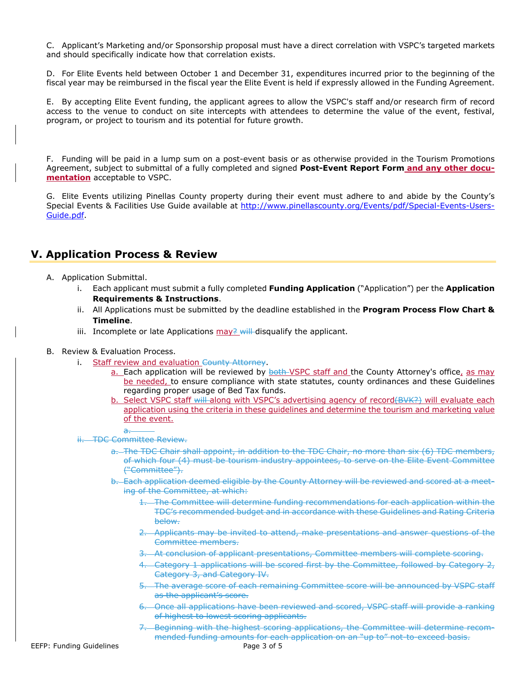C. Applicant's Marketing and/or Sponsorship proposal must have a direct correlation with VSPC's targeted markets and should specifically indicate how that correlation exists.

D. For Elite Events held between October 1 and December 31, expenditures incurred prior to the beginning of the fiscal year may be reimbursed in the fiscal year the Elite Event is held if expressly allowed in the Funding Agreement.

E. By accepting Elite Event funding, the applicant agrees to allow the VSPC's staff and/or research firm of record access to the venue to conduct on site intercepts with attendees to determine the value of the event, festival, program, or project to tourism and its potential for future growth.

F. Funding will be paid in a lump sum on a post-event basis or as otherwise provided in the Tourism Promotions Agreement, subject to submittal of a fully completed and signed **Post-Event Report Form and any other documentation** acceptable to VSPC.

G. Elite Events utilizing Pinellas County property during their event must adhere to and abide by the County's Special Events & Facilities Use Guide available at http://www.pinellascounty.org/Events/pdf/Special-Events-Users-Guide.pdf.

#### **V. Application Process & Review**

- A. Application Submittal.
	- i. Each applicant must submit a fully completed **Funding Application** ("Application") per the **Application Requirements & Instructions**.
	- ii. All Applications must be submitted by the deadline established in the **Program Process Flow Chart & Timeline**.
	- iii. Incomplete or late Applications  $\frac{my}{r}$  will disqualify the applicant.

#### B. Review & Evaluation Process.

- i. Staff review and evaluation County Attorney.
	- a. Each application will be reviewed by both VSPC staff and the County Attorney's office, as may be needed, to ensure compliance with state statutes, county ordinances and these Guidelines regarding proper usage of Bed Tax funds.
	- b. Select VSPC staff will along with VSPC's advertising agency of record(BVK?) will evaluate each application using the criteria in these guidelines and determine the tourism and marketing value of the event.
	- a.
- ii. TDC Committee Review.
	- a. The TDC Chair shall appoint, in addition to the TDC Chair, no more than six (6) TDC members, of which four (4) must be tourism industry appointees, to serve on the Elite Event Committee ("Committee").
	- b. Each application deemed eligible by the County Attorney will be reviewed and scored at a meeting of the Committee, at which:
		- 1. The Committee will determine funding recommendations for each application within the TDC's recommended budget and in accordance with these Guidelines and Rating Criteria below.
		- 2. Applicants may be invited to attend, make presentations and answer questions of the Committee members.
		- 3. At conclusion of applicant presentations, Committee members will complete scoring.
		- 4. Category 1 applications will be scored first by the Committee, followed by Category 2, Category 3, and Category IV.
		- 5. The average score of each remaining Committee score will be announced by VSPC staff as the applicant's score.
		- 6. Once all applications have been reviewed and scored, VSPC staff will provide a ranking of highest to lowest scoring applicants.
		- 7. Beginning with the highest scoring applications, the Committee will determine recommended funding amounts for each application on an "up to" not-to-exceed basis.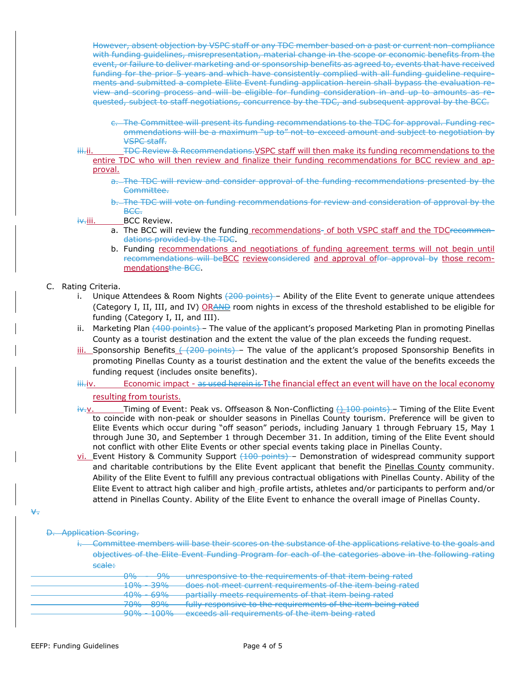However, absent objection by VSPC staff or any TDC member based on a past or current non-compliance with funding guidelines, misrepresentation, material change in the scope or economic benefits from the event, or failure to deliver marketing and or sponsorship benefits as agreed to, events that have received funding for the prior 5 years and which have consistently complied with all funding guideline requirements and submitted a complete Elite Event funding application herein shall bypass the evaluation review and scoring process and will be eligible for funding consideration in and up to amounts as requested, subject to staff negotiations, concurrence by the TDC, and subsequent approval by the BCC.

- c. The Committee will present its funding recommendations to the TDC for approval. Funding recommendations will be a maximum "up to" not-to-exceed amount and subject to negotiation by VSPC staff.
- iii. TDC Review & Recommendations. VSPC staff will then make its funding recommendations to the entire TDC who will then review and finalize their funding recommendations for BCC review and approval.
	- a. The TDC will review and consider approval of the funding recommendations presented by the Committee.
	- b. The TDC will vote on funding recommendations for review and consideration of approval by the BCC.

iv.iii. BCC Review.

- a. The BCC will review the funding recommendations- of both VSPC staff and the TDCrecommendations provided by the TDC.
- b. Funding recommendations and negotiations of funding agreement terms will not begin until recommendations will beBCC reviewconsidered and approval offor approval by those recommendationsthe BCC.
- C. Rating Criteria.
	- i. Unique Attendees & Room Nights (200 points) Ability of the Elite Event to generate unique attendees (Category I, II, III, and IV) ORAND room nights in excess of the threshold established to be eligible for funding (Category I, II, and III).
	- ii. Marketing Plan (400 points) The value of the applicant's proposed Marketing Plan in promoting Pinellas County as a tourist destination and the extent the value of the plan exceeds the funding request.
	- iii. Sponsorship Benefits ( (200 points) The value of the applicant's proposed Sponsorship Benefits in promoting Pinellas County as a tourist destination and the extent the value of the benefits exceeds the funding request (includes onsite benefits).

iii.iv. Economic impact - as used herein is Tthe financial effect an event will have on the local economy

resulting from tourists.

- iv.v. Timing of Event: Peak vs. Offseason & Non-Conflicting (1000 points) Timing of the Elite Event to coincide with non-peak or shoulder seasons in Pinellas County tourism. Preference will be given to Elite Events which occur during "off season" periods, including January 1 through February 15, May 1 through June 30, and September 1 through December 31. In addition, timing of the Elite Event should not conflict with other Elite Events or other special events taking place in Pinellas County.
- $vi$  Event History & Community Support  $(100$  points) Demonstration of widespread community support</u> and charitable contributions by the Elite Event applicant that benefit the Pinellas County community. Ability of the Elite Event to fulfill any previous contractual obligations with Pinellas County. Ability of the Elite Event to attract high caliber and high -profile artists, athletes and/or participants to perform and/or attend in Pinellas County. Ability of the Elite Event to enhance the overall image of Pinellas County.

v.

#### D. Application Scoring.

i. Committee members will base their scores on the substance of the applications relative to the goals and objectives of the Elite Event Funding Program for each of the categories above in the following rating scale:

| 00A                         | 00 <sup>2</sup>  | unresponsive to the requirements of that item being rated            |
|-----------------------------|------------------|----------------------------------------------------------------------|
|                             |                  |                                                                      |
| 100/                        | $200\%$          | doos not moot surront roquiromonts of the item being rated           |
| <b>IV 70</b>                | <del>JJ 70</del> | <del>uves not meet current regunements or the item being rated</del> |
| $\lambda$ $\Omega$ $\Omega$ | COM              | partially meets requirements of that item being rated                |
| ᠇ᠣ᠊ᠣ                        | <u>o 270</u>     |                                                                      |
| 700A                        | onn/             | fully recononcive to the requirements of the item being rated        |
| 7070                        | OJ 70            | <u>Tuny responsive to the requirements or the item being rated</u>   |
| $0.001 + 1.0001$            |                  | exceeds all requirements of the item being rated                     |
|                             |                  |                                                                      |